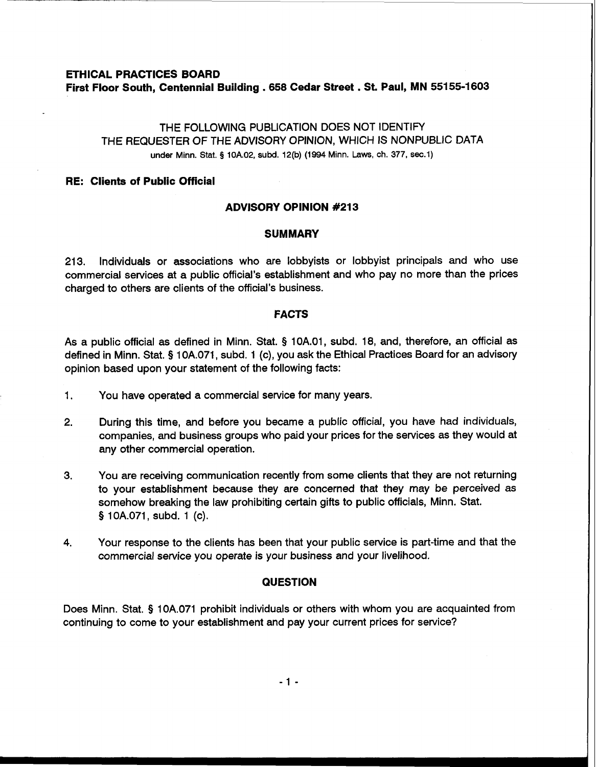# **ETHICAL PRACTICES BOARD First Floor South, Centennial Building** . **658 Cedar Street** . **St. Paul, MN 55155-1603**

# THE FOLLOWING PUBLICATION DOES NOT IDENTIFY THE REQUESTER OF THE ADVISORY OPINION, WHICH IS NONPUBLIC DATA under Minn. Stat. **g** 10A.02, subd. 12(b) (1994 Minn. Laws, **ch.** 377, **sec.1)**

#### **RE: Clients of Public Official**

# **ADVISORY OPINION #213**

## **SUMMARY**

213. Individuals or associations who are lobbyists or lobbyist principals and who use commercial services at a public official's establishment and who pay no more than the prices charged to others are clients of the official's business.

## **FACTS**

As a public official as defined in Minn. Stat. **5** 10A.O1, subd. 18, and, therefore, an official as defined in Minn. Stat. **9** 10A.071, subd. 1 (c), you ask the Ethical Practices Board for an advisory opinion based upon your statement of the following facts:

- 1. You have operated a commercial service for many years.
- **2.** During this time, and before you became a public official, you have had individuals, companies, and business groups who paid your prices for the services as they would at any other commercial operation.
- 3. You are receiving communication recently from some clients that they are not returning to your establishment because they are concerned that they may be perceived as somehow breaking the law prohibiting certain gifts to public officials, Minn. Stat. § 1 0A.071, subd. 1 (c).
- **4.** Your response to the clients has been that your public service is part-time and that the commercial service you operate is your business and your livelihood.

# **QUESTION**

Does Minn. Stat. **9** 10A.071 prohibit individuals or others with whom you are acquainted from continuing to come to your establishment and pay your current prices for service?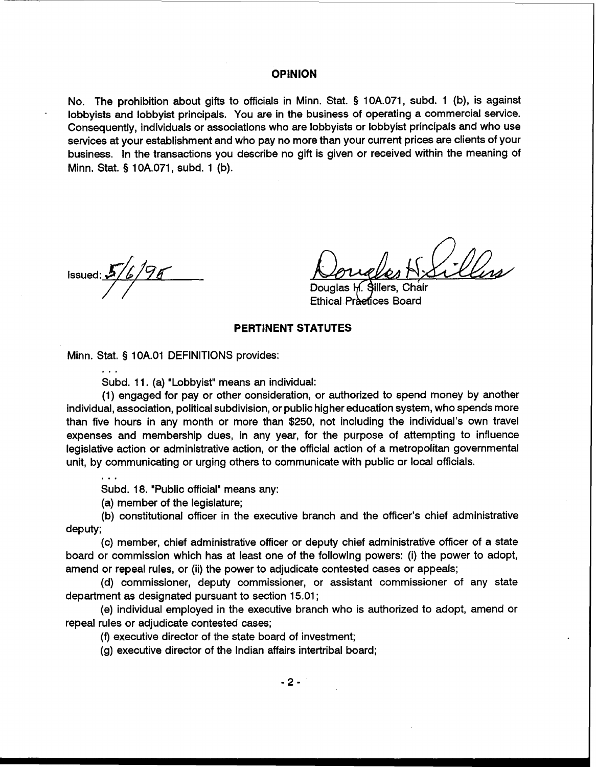#### **OPINION**

No. The prohibition about gifts to officials in Minn. Stat. § 10A.071, subd. 1 (b), is against lobbyist principals. You are in the business of operating a commercial service. Consequently, individuals or associations who are lobbyists or lobbyist principals and who use services at your establishment and who pay no more than your current prices are clients of your business. In the transactions you describe no gift is given or received within the meaning of Minn. Stat. **5** 10A.071, subd. 1 (b).

**Solution** issued:  $2/$ 

Douglas H. Sillers, Chair Ethical Praetices Board

#### **PERTINENT STATUTES**

Minn. Stat. § 1 OA.O1 DEFINITIONS provides:

...

. . .

Subd. 11. (a) "Lobbyist" means an individual:

(1) engaged for pay or other consideration, or authorized to spend money by another individual, association, political subdivision, or public higher education system, who spends more than five hours in any month or more than \$250, not including the individual's own travel expenses and membership dues, in any year, for the purpose of attempting to influence legislative action or administrative action, or the official action of a metropolitan governmental unit, by communicating or urging others to communicate with public or local officials.

Subd. 18. "Public official" means any:

(a) member of the legislature;

(b) constitutional officer in the executive branch and the officer's chief administrative deputy;

(c) member, chief administrative officer or deputy chief administrative officer of a state board or commission which has at least one of the following powers: (i) the power to adopt, amend or repeal rules, or (ii) the power to adjudicate contested cases or appeals;

(d) commissioner, deputy commissioner, or assistant commissioner of any state department as designated pursuant to section 15.01;

(e) individual employed in the executive branch who is authorized to adopt, amend or repeal rules or adjudicate contested cases;

(f) executive director of the state board of investment;

(g) executive director of the Indian affairs intertribal board;

 $-2-$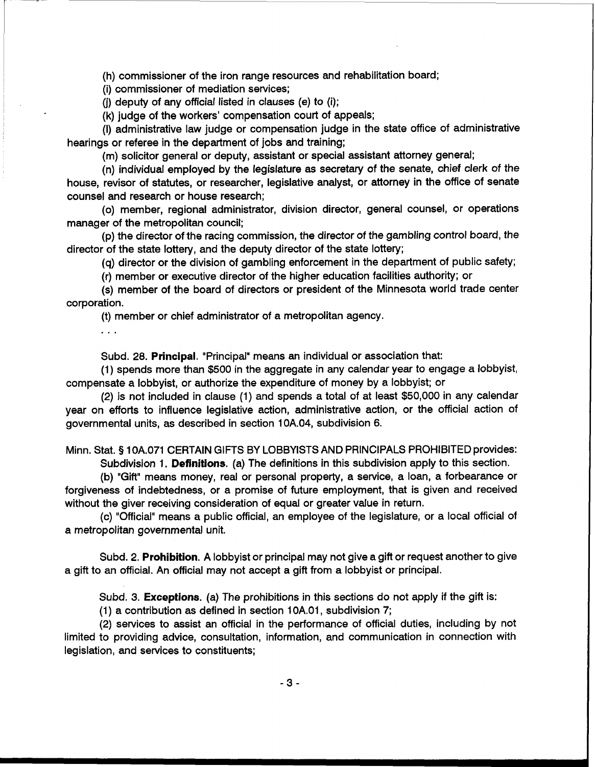(h) commissioner of the iron range resources and rehabilitation board;

(i) commissioner of mediation services;

(j) deputy of any official listed in clauses (e) to (i);

(k) judge of the workers' compensation court of appeals;

(I) administrative law judge or compensation judge in the state office of administrative hearings or referee in the department of jobs and training;

(m) solicitor general or deputy, assistant or special assistant attorney general;

(n) individual employed by the legislature as secretary of the senate, chief clerk of the house, revisor of statutes, or researcher, legislative analyst, or attorney in the office of senate counsel and research or house research;

(0) member, regional administrator, division director, general counsel, or operations manager of the metropolitan council;

(p) the director of the racing commission, the director of the gambling control board, the director of the state lottery, and the deputy director of the state lottery;

(q) director or the division of gambling enforcement in the department of public safety;

(r) member or executive director of the higher education facilities authority; or

(s) member of the board of directors or president of the Minnesota world trade center corporation.

(t) member or chief administrator of a metropolitan agency.

 $\mathbb{R}^2$ 

Subd. 28. **Principal.** "Principal" means an individual or association that:

(1) spends more than \$500 in the aggregate in any calendar year to engage a lobbyist, compensate a lobbyist, or authorize the expenditure of money by a lobbyist; or

(2) is not included in clause (1) and spends a total of at least \$50,000 in any calendar year on efforts to influence legislative action, administrative action, or the official action of governmental units, as described in section 10A.04, subdivision 6.

Minn. Stat. **9** 10A.071 CERTAIN GIFTS BY LOBBYISTS AND PRINCIPALS PROHIBITED provides:

Subdivision 1. **Definitions.** (a) The definitions in this subdivision apply to this section.

(b) "Gift" means money, real or personal property, a service, a loan, a forbearance or forgiveness of indebtedness, or a promise of future employment, that is given and received without the giver receiving consideration of equal or greater value in return.

(c) "Official" means a public official, an employee of the legislature, or a local official of a metropolitan governmental unit.

Subd. 2. **Prohibition.** A lobbyist or principal may not give a gift or request another to give a gift to an official. An official may not accept a gift from a lobbyist or principal.

Subd. 3. **Exceptions.** (a) The prohibitions in this sections do not apply if the gift is:

(1) a contribution as defined in section 10A.01, subdivision 7;

(2) services to assist an official in the performance of official duties, including by not limited to providing advice, consultation, information, and communication in connection with legislation, and services to constituents;